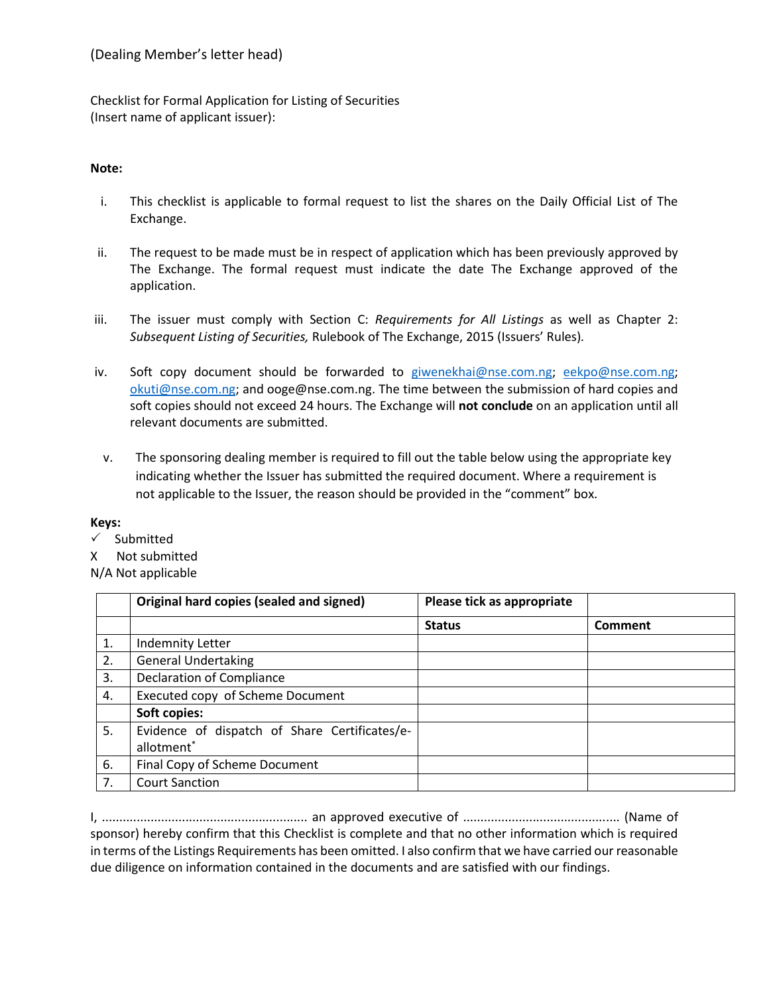Checklist for Formal Application for Listing of Securities (Insert name of applicant issuer):

## **Note:**

- i. This checklist is applicable to formal request to list the shares on the Daily Official List of The Exchange.
- ii. The request to be made must be in respect of application which has been previously approved by The Exchange. The formal request must indicate the date The Exchange approved of the application.
- iii. The issuer must comply with Section C: *Requirements for All Listings* as well as Chapter 2: *Subsequent Listing of Securities,* Rulebook of The Exchange, 2015 (Issuers' Rules)*.*
- iv. Soft copy document should be forwarded to [giwenekhai@nse.com.ng;](mailto:giwenekhai@nse.com.ng) [eekpo@nse.com.ng;](mailto:eekpo@nse.com.ng) [okuti@nse.com.ng;](mailto:okuti@nse.com.ng) and ooge@nse.com.ng. The time between the submission of hard copies and soft copies should not exceed 24 hours. The Exchange will **not conclude** on an application until all relevant documents are submitted.
	- v. The sponsoring dealing member is required to fill out the table below using the appropriate key indicating whether the Issuer has submitted the required document. Where a requirement is not applicable to the Issuer, the reason should be provided in the "comment" box.

## **Keys:**

 $\checkmark$  Submitted

X Not submitted

## N/A Not applicable

|    | Original hard copies (sealed and signed)      | Please tick as appropriate |         |
|----|-----------------------------------------------|----------------------------|---------|
|    |                                               | <b>Status</b>              | Comment |
| 1. | <b>Indemnity Letter</b>                       |                            |         |
| 2. | <b>General Undertaking</b>                    |                            |         |
| 3. | <b>Declaration of Compliance</b>              |                            |         |
| 4. | Executed copy of Scheme Document              |                            |         |
|    | Soft copies:                                  |                            |         |
| 5. | Evidence of dispatch of Share Certificates/e- |                            |         |
|    | allotment <sup>*</sup>                        |                            |         |
| 6. | Final Copy of Scheme Document                 |                            |         |
| 7. | <b>Court Sanction</b>                         |                            |         |

I, ........................................................... an approved executive of ............................................. (Name of sponsor) hereby confirm that this Checklist is complete and that no other information which is required in terms of the Listings Requirements has been omitted. I also confirm that we have carried our reasonable due diligence on information contained in the documents and are satisfied with our findings.